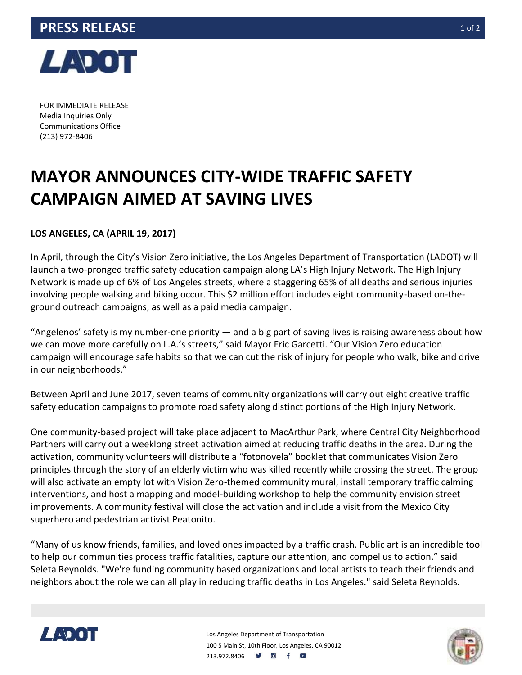

FOR IMMEDIATE RELEASE Media Inquiries Only Communications Office (213) 972-8406

## **MAYOR ANNOUNCES CITY-WIDE TRAFFIC SAFETY CAMPAIGN AIMED AT SAVING LIVES**

## **LOS ANGELES, CA (APRIL 19, 2017)**

In April, through the City's Vision Zero initiative, the Los Angeles Department of Transportation (LADOT) will launch a two-pronged traffic safety education campaign along LA's High Injury Network. The High Injury Network is made up of 6% of Los Angeles streets, where a staggering 65% of all deaths and serious injuries involving people walking and biking occur. This \$2 million effort includes eight community-based on-theground outreach campaigns, as well as a paid media campaign.

"Angelenos' safety is my number-one priority — and a big part of saving lives is raising awareness about how we can move more carefully on L.A.'s streets," said Mayor Eric Garcetti. "Our Vision Zero education campaign will encourage safe habits so that we can cut the risk of injury for people who walk, bike and drive in our neighborhoods."

Between April and June 2017, seven teams of community organizations will carry out eight creative traffic safety education campaigns to promote road safety along distinct portions of the High Injury Network.

One community-based project will take place adjacent to MacArthur Park, where Central City Neighborhood Partners will carry out a weeklong street activation aimed at reducing traffic deaths in the area. During the activation, community volunteers will distribute a "fotonovela" booklet that communicates Vision Zero principles through the story of an elderly victim who was killed recently while crossing the street. The group will also activate an empty lot with Vision Zero-themed community mural, install temporary traffic calming interventions, and host a mapping and model-building workshop to help the community envision street improvements. A community festival will close the activation and include a visit from the Mexico City superhero and pedestrian activist Peatonito.

"Many of us know friends, families, and loved ones impacted by a traffic crash. Public art is an incredible tool to help our communities process traffic fatalities, capture our attention, and compel us to action." said Seleta Reynolds. "We're funding community based organizations and local artists to teach their friends and neighbors about the role we can all play in reducing traffic deaths in Los Angeles." said Seleta Reynolds.



Los Angeles Department of Transportation 100 S Main St, 10th Floor, Los Angeles, CA 90012 213.972.8406 **9 8 f 8**